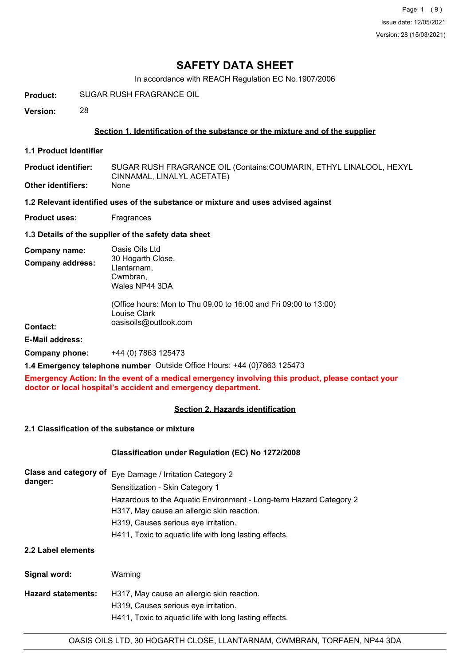In accordance with REACH Regulation EC No.1907/2006

**Product:** SUGAR RUSH FRAGRANCE OIL

**Version:** 28

### **Section 1. Identification of the substance or the mixture and of the supplier**

**1.1 Product Identifier**

**Product identifier: Other identifiers:** SUGAR RUSH FRAGRANCE OIL (Contains:COUMARIN, ETHYL LINALOOL, HEXYL CINNAMAL, LINALYL ACETATE) None

#### **1.2 Relevant identified uses of the substance or mixture and uses advised against**

**Product uses:** Fragrances

**1.3 Details of the supplier of the safety data sheet**

| Company name:           | Oasis Oils Ltd                                                                                            |
|-------------------------|-----------------------------------------------------------------------------------------------------------|
| <b>Company address:</b> | 30 Hogarth Close,<br>Llantarnam,<br>Cwmbran,<br>Wales NP44 3DA                                            |
| <b>Contact:</b>         | (Office hours: Mon to Thu 09.00 to 16:00 and Fri 09:00 to 13:00)<br>Louise Clark<br>oasisoils@outlook.com |
| <b>E-Mail address:</b>  |                                                                                                           |
| Company phone:          | +44 (0) 7863 125473                                                                                       |

**1.4 Emergency telephone number** Outside Office Hours: +44 (0)7863 125473

**Emergency Action: In the event of a medical emergency involving this product, please contact your doctor or local hospital's accident and emergency department.**

# **Section 2. Hazards identification**

# **2.1 Classification of the substance or mixture**

**Signal word:** Warning

# **Classification under Regulation (EC) No 1272/2008**

| danger:            | Class and category of Eye Damage / Irritation Category 2<br>Sensitization - Skin Category 1                      |  |  |
|--------------------|------------------------------------------------------------------------------------------------------------------|--|--|
|                    | Hazardous to the Aquatic Environment - Long-term Hazard Category 2<br>H317, May cause an allergic skin reaction. |  |  |
|                    | H319, Causes serious eye irritation.                                                                             |  |  |
|                    | H411, Toxic to aquatic life with long lasting effects.                                                           |  |  |
| 2.2 Label elements |                                                                                                                  |  |  |

| ווטוס וויוויט.     | <u>vvalilling</u>                                      |
|--------------------|--------------------------------------------------------|
| Hazard statements: | H317, May cause an allergic skin reaction.             |
|                    | H319, Causes serious eye irritation.                   |
|                    | H411, Toxic to aguatic life with long lasting effects. |
|                    |                                                        |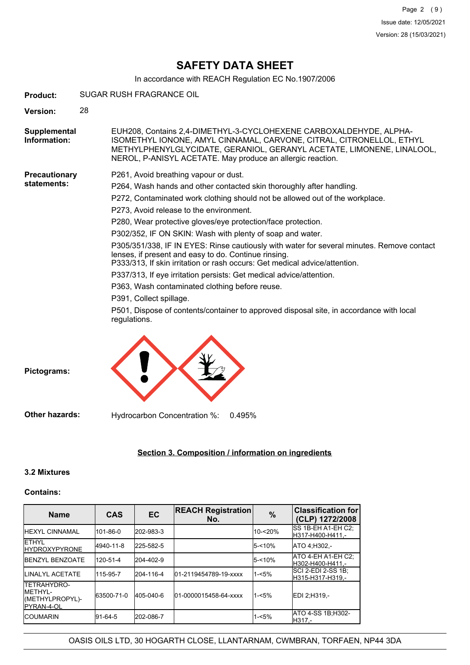In accordance with REACH Regulation EC No.1907/2006

| <b>Product:</b>              |                                                | SUGAR RUSH FRAGRANCE OIL                                                                                                                                                                                                                                                          |  |  |  |  |
|------------------------------|------------------------------------------------|-----------------------------------------------------------------------------------------------------------------------------------------------------------------------------------------------------------------------------------------------------------------------------------|--|--|--|--|
| <b>Version:</b>              | 28                                             |                                                                                                                                                                                                                                                                                   |  |  |  |  |
| Supplemental<br>Information: |                                                | EUH208, Contains 2,4-DIMETHYL-3-CYCLOHEXENE CARBOXALDEHYDE, ALPHA-<br>ISOMETHYL IONONE, AMYL CINNAMAL, CARVONE, CITRAL, CITRONELLOL, ETHYL<br>METHYLPHENYLGLYCIDATE, GERANIOL, GERANYL ACETATE, LIMONENE, LINALOOL,<br>NEROL, P-ANISYL ACETATE. May produce an allergic reaction. |  |  |  |  |
| <b>Precautionary</b>         |                                                | P261, Avoid breathing vapour or dust.                                                                                                                                                                                                                                             |  |  |  |  |
| statements:                  |                                                | P264, Wash hands and other contacted skin thoroughly after handling.                                                                                                                                                                                                              |  |  |  |  |
|                              |                                                | P272, Contaminated work clothing should not be allowed out of the workplace.                                                                                                                                                                                                      |  |  |  |  |
|                              |                                                | P273, Avoid release to the environment.                                                                                                                                                                                                                                           |  |  |  |  |
|                              |                                                | P280, Wear protective gloves/eye protection/face protection.                                                                                                                                                                                                                      |  |  |  |  |
|                              |                                                | P302/352, IF ON SKIN: Wash with plenty of soap and water.                                                                                                                                                                                                                         |  |  |  |  |
|                              |                                                | P305/351/338, IF IN EYES: Rinse cautiously with water for several minutes. Remove contact<br>lenses, if present and easy to do. Continue rinsing.<br>P333/313, If skin irritation or rash occurs: Get medical advice/attention.                                                   |  |  |  |  |
|                              |                                                | P337/313, If eye irritation persists: Get medical advice/attention.                                                                                                                                                                                                               |  |  |  |  |
|                              | P363, Wash contaminated clothing before reuse. |                                                                                                                                                                                                                                                                                   |  |  |  |  |
|                              |                                                | P391, Collect spillage.                                                                                                                                                                                                                                                           |  |  |  |  |
|                              |                                                | P501, Dispose of contents/container to approved disposal site, in accordance with local<br>regulations.                                                                                                                                                                           |  |  |  |  |
|                              |                                                |                                                                                                                                                                                                                                                                                   |  |  |  |  |



# **Section 3. Composition / information on ingredients**

#### **3.2 Mixtures**

#### **Contains:**

| <b>Name</b>                                                                     | <b>CAS</b> | <b>EC</b> | <b>REACH Registration</b><br>No. | $\%$      | <b>Classification for</b><br>(CLP) 1272/2008 |
|---------------------------------------------------------------------------------|------------|-----------|----------------------------------|-----------|----------------------------------------------|
| <b>HEXYL CINNAMAL</b>                                                           | 101-86-0   | 202-983-3 |                                  | 10-<20%   | ISS 1B-EH A1-EH C2:<br>H317-H400-H411.-      |
| <b>IETHYL</b><br><b>IHYDROXYPYRONE</b>                                          | 4940-11-8  | 225-582-5 |                                  | 5-<10%    | ATO 4:H302 -                                 |
| <b>IBENZYL BENZOATE</b>                                                         | 120-51-4   | 204-402-9 |                                  | $5 - 10%$ | ATO 4-EH A1-EH C2;<br>H302-H400-H411.-       |
| <b>ILINALYL ACETATE</b>                                                         | 115-95-7   | 204-116-4 | 01-2119454789-19-xxxx            | $1 - 5%$  | ISCI 2-EDI 2-SS 1B:<br>H315-H317-H319.-      |
| <b>ITETRAHYDRO-</b><br><b>IMETHYL-</b><br>(METHYLPROPYL)-<br><b>IPYRAN-4-OL</b> | 63500-71-0 | 405-040-6 | 01-0000015458-64-xxxx            | $1 - 5%$  | EDI 2:H319 .-                                |
| <b>ICOUMARIN</b>                                                                | 91-64-5    | 202-086-7 |                                  | $1 - 5%$  | <b>ATO 4-SS 1B:H302-</b><br>IH317.-          |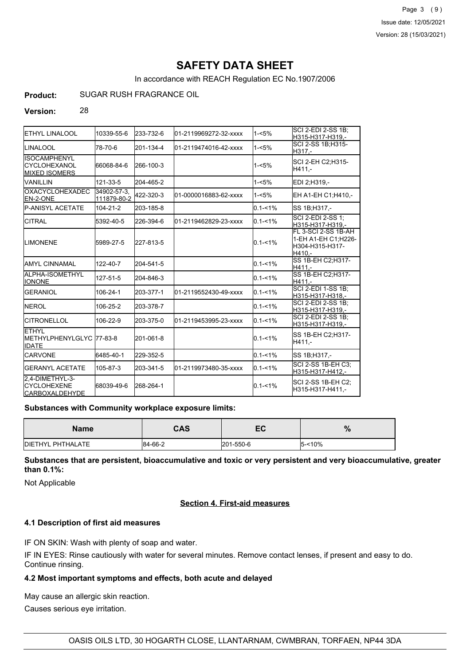Page 3 (9) Issue date: 12/05/2021 Version: 28 (15/03/2021)

# **SAFETY DATA SHEET**

In accordance with REACH Regulation EC No.1907/2006

**Product:** SUGAR RUSH FRAGRANCE OIL

#### **Version:** 28

| <b>I</b> ETHYL LINALOOL                                         | 10339-55-6                 | 233-732-6 | l01-2119969272-32-xxxx | $1 - 5%$    | SCI 2-EDI 2-SS 1B:<br>H315-H317-H319,-                                   |
|-----------------------------------------------------------------|----------------------------|-----------|------------------------|-------------|--------------------------------------------------------------------------|
| ILINALOOL                                                       | 78-70-6                    | 201-134-4 | 01-2119474016-42-xxxx  | $1 - 5%$    | SCI 2-SS 1B:H315-<br>H317.-                                              |
| <b>ISOCAMPHENYL</b><br>ICYCLOHEXANOL<br><b>I</b> MIXED ISOMERS  | 66068-84-6                 | 266-100-3 |                        | $1 - 5%$    | SCI 2-EH C2;H315-<br>H411.-                                              |
| VANILLIN                                                        | 121-33-5                   | 204-465-2 |                        | $1 - 5%$    | EDI 2;H319,-                                                             |
| <b>OXACYCLOHEXADEC</b><br>EN-2-ONE                              | 34902-57-3.<br>111879-80-2 | 422-320-3 | 01-0000016883-62-xxxx  | $1 - 5%$    | EH A1-EH C1; H410,-                                                      |
| <b>IP-ANISYL ACETATE</b>                                        | $104 - 21 - 2$             | 203-185-8 |                        | $0.1 - 1%$  | SS 1B;H317,-                                                             |
| ICITRAL                                                         | 5392-40-5                  | 226-394-6 | 01-2119462829-23-xxxx  | $0.1 - 1\%$ | SCI 2-EDI 2-SS 1:<br>H315-H317-H319,-                                    |
| <b>ILIMONENE</b>                                                | 5989-27-5                  | 227-813-5 |                        | $0.1 - 1\%$ | FL 3-SCI 2-SS 1B-AH<br>1-EH A1-EH C1; H226-<br>H304-H315-H317-<br>H410.- |
| IAMYL CINNAMAL                                                  | 122-40-7                   | 204-541-5 |                        | $0.1 - 1\%$ | SS 1B-EH C2; H317-<br>H411.-                                             |
| ALPHA-ISOMETHYL<br><b>I</b> IONONE                              | 127-51-5                   | 204-846-3 |                        | $0.1 - 1\%$ | SS 1B-EH C2; H317-<br>H411.-                                             |
| <b>GERANIOL</b>                                                 | 106-24-1                   | 203-377-1 | 01-2119552430-49-xxxx  | $0.1 - 1\%$ | <b>SCI 2-EDI 1-SS 1B;</b><br>H315-H317-H318.-                            |
| <b>INEROL</b>                                                   | 106-25-2                   | 203-378-7 |                        | $0.1 - 1\%$ | SCI 2-EDI 2-SS 1B;<br>H315-H317-H319.-                                   |
| ICITRONELLOL                                                    | 106-22-9                   | 203-375-0 | 01-2119453995-23-xxxx  | $0.1 - 1\%$ | <b>SCI 2-EDI 2-SS 1B:</b><br>H315-H317-H319,-                            |
| <b>FTHYL</b><br>METHYLPHENYLGLYC 77-83-8<br><b>IDATE</b>        |                            | 201-061-8 |                        | $0.1 - 1\%$ | SS 1B-EH C2;H317-<br>H411,-                                              |
| <b>ICARVONE</b>                                                 | 6485-40-1                  | 229-352-5 |                        | $0.1 - 1\%$ | SS 1B;H317,-                                                             |
| <b>I</b> GERANYL ACETATE                                        | 105-87-3                   | 203-341-5 | 01-2119973480-35-xxxx  | $0.1 - 1\%$ | <b>SCI 2-SS 1B-EH C3:</b><br>H315-H317-H412,-                            |
| 2,4-DIMETHYL-3-<br><b>CYCLOHEXENE</b><br><b>ICARBOXALDEHYDE</b> | 68039-49-6                 | 268-264-1 |                        | $0.1 - 1\%$ | SCI 2-SS 1B-EH C2;<br>H315-H317-H411.-                                   |

**Substances with Community workplace exposure limits:**

| <b>Name</b>               | CAS     | -0<br>EY. | $\mathbf{a}$<br>$\overline{0}$ |
|---------------------------|---------|-----------|--------------------------------|
| <b>IDIETHYL PHTHALATE</b> | 84-66-2 | 201-550-6 | $10\%$                         |

**Substances that are persistent, bioaccumulative and toxic or very persistent and very bioaccumulative, greater than 0.1%:**

Not Applicable

#### **Section 4. First-aid measures**

#### **4.1 Description of first aid measures**

IF ON SKIN: Wash with plenty of soap and water.

IF IN EYES: Rinse cautiously with water for several minutes. Remove contact lenses, if present and easy to do. Continue rinsing.

#### **4.2 Most important symptoms and effects, both acute and delayed**

May cause an allergic skin reaction.

Causes serious eye irritation.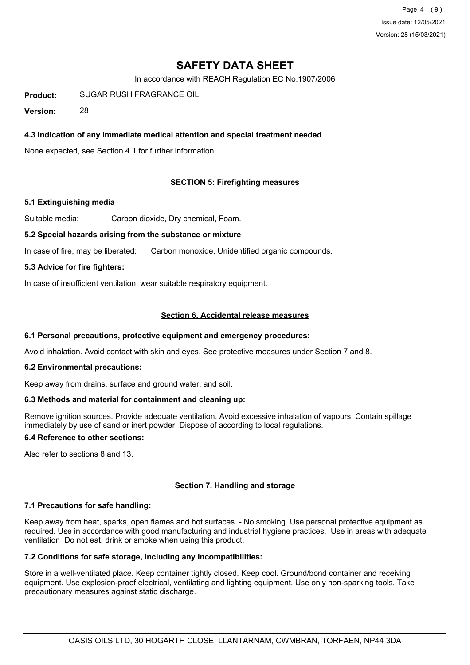Page 4 (9) Issue date: 12/05/2021 Version: 28 (15/03/2021)

# **SAFETY DATA SHEET**

In accordance with REACH Regulation EC No.1907/2006

**Product:** SUGAR RUSH FRAGRANCE OIL

**Version:** 28

### **4.3 Indication of any immediate medical attention and special treatment needed**

None expected, see Section 4.1 for further information.

#### **SECTION 5: Firefighting measures**

#### **5.1 Extinguishing media**

Suitable media: Carbon dioxide, Dry chemical, Foam.

#### **5.2 Special hazards arising from the substance or mixture**

In case of fire, may be liberated: Carbon monoxide, Unidentified organic compounds.

#### **5.3 Advice for fire fighters:**

In case of insufficient ventilation, wear suitable respiratory equipment.

#### **Section 6. Accidental release measures**

#### **6.1 Personal precautions, protective equipment and emergency procedures:**

Avoid inhalation. Avoid contact with skin and eyes. See protective measures under Section 7 and 8.

#### **6.2 Environmental precautions:**

Keep away from drains, surface and ground water, and soil.

#### **6.3 Methods and material for containment and cleaning up:**

Remove ignition sources. Provide adequate ventilation. Avoid excessive inhalation of vapours. Contain spillage immediately by use of sand or inert powder. Dispose of according to local regulations.

### **6.4 Reference to other sections:**

Also refer to sections 8 and 13.

#### **Section 7. Handling and storage**

#### **7.1 Precautions for safe handling:**

Keep away from heat, sparks, open flames and hot surfaces. - No smoking. Use personal protective equipment as required. Use in accordance with good manufacturing and industrial hygiene practices. Use in areas with adequate ventilation Do not eat, drink or smoke when using this product.

## **7.2 Conditions for safe storage, including any incompatibilities:**

Store in a well-ventilated place. Keep container tightly closed. Keep cool. Ground/bond container and receiving equipment. Use explosion-proof electrical, ventilating and lighting equipment. Use only non-sparking tools. Take precautionary measures against static discharge.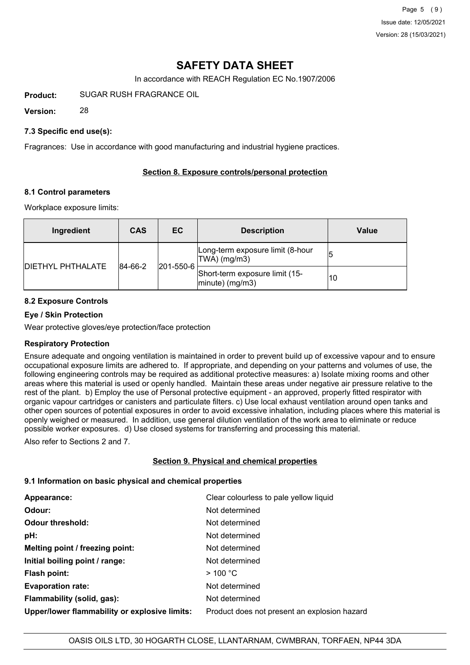In accordance with REACH Regulation EC No.1907/2006

**Product:** SUGAR RUSH FRAGRANCE OIL

**Version:** 28

### **7.3 Specific end use(s):**

Fragrances: Use in accordance with good manufacturing and industrial hygiene practices.

### **Section 8. Exposure controls/personal protection**

#### **8.1 Control parameters**

Workplace exposure limits:

| Ingredient               | <b>CAS</b> | EC.               | <b>Description</b>                                   | Value |
|--------------------------|------------|-------------------|------------------------------------------------------|-------|
|                          | 84-66-2    |                   | Long-term exposure limit (8-hour<br>TWA) (mg/m3)     |       |
| <b>DIETHYL PHTHALATE</b> |            | $ 201 - 550 - 6 $ | Short-term exposure limit (15-<br>$ minute)$ (mg/m3) | 10    |

# **8.2 Exposure Controls**

### **Eye / Skin Protection**

Wear protective gloves/eye protection/face protection

#### **Respiratory Protection**

Ensure adequate and ongoing ventilation is maintained in order to prevent build up of excessive vapour and to ensure occupational exposure limits are adhered to. If appropriate, and depending on your patterns and volumes of use, the following engineering controls may be required as additional protective measures: a) Isolate mixing rooms and other areas where this material is used or openly handled. Maintain these areas under negative air pressure relative to the rest of the plant. b) Employ the use of Personal protective equipment - an approved, properly fitted respirator with organic vapour cartridges or canisters and particulate filters. c) Use local exhaust ventilation around open tanks and other open sources of potential exposures in order to avoid excessive inhalation, including places where this material is openly weighed or measured. In addition, use general dilution ventilation of the work area to eliminate or reduce possible worker exposures. d) Use closed systems for transferring and processing this material.

Also refer to Sections 2 and 7.

# **Section 9. Physical and chemical properties**

#### **9.1 Information on basic physical and chemical properties**

| Appearance:                                   | Clear colourless to pale yellow liquid       |
|-----------------------------------------------|----------------------------------------------|
| Odour:                                        | Not determined                               |
| <b>Odour threshold:</b>                       | Not determined                               |
| pH:                                           | Not determined                               |
| Melting point / freezing point:               | Not determined                               |
| Initial boiling point / range:                | Not determined                               |
| Flash point:                                  | >100 °C                                      |
| <b>Evaporation rate:</b>                      | Not determined                               |
| Flammability (solid, gas):                    | Not determined                               |
| Upper/lower flammability or explosive limits: | Product does not present an explosion hazard |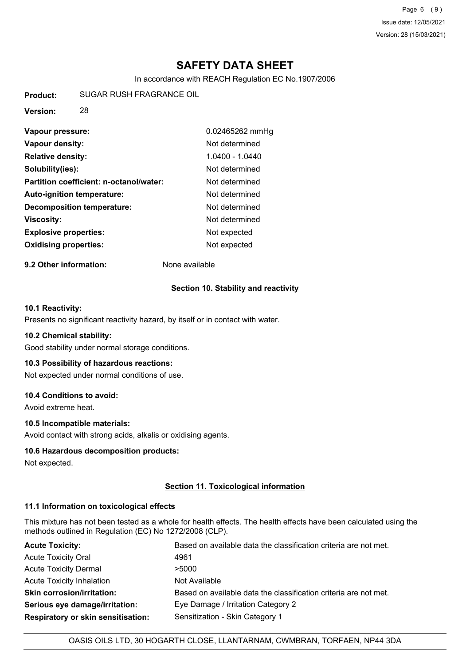Page 6 (9) Issue date: 12/05/2021 Version: 28 (15/03/2021)

# **SAFETY DATA SHEET**

In accordance with REACH Regulation EC No.1907/2006

**Product:** SUGAR RUSH FRAGRANCE OIL

**Version:** 28

| Vapour pressure:                        | 0.02465262 mmHg   |
|-----------------------------------------|-------------------|
| Vapour density:                         | Not determined    |
| <b>Relative density:</b>                | $1.0400 - 1.0440$ |
| Solubility(ies):                        | Not determined    |
| Partition coefficient: n-octanol/water: | Not determined    |
| <b>Auto-ignition temperature:</b>       | Not determined    |
| <b>Decomposition temperature:</b>       | Not determined    |
| Viscosity:                              | Not determined    |
| <b>Explosive properties:</b>            | Not expected      |
| <b>Oxidising properties:</b>            | Not expected      |

**9.2 Other information:** None available

#### **Section 10. Stability and reactivity**

### **10.1 Reactivity:**

Presents no significant reactivity hazard, by itself or in contact with water.

#### **10.2 Chemical stability:**

Good stability under normal storage conditions.

#### **10.3 Possibility of hazardous reactions:**

Not expected under normal conditions of use.

#### **10.4 Conditions to avoid:**

Avoid extreme heat.

#### **10.5 Incompatible materials:**

Avoid contact with strong acids, alkalis or oxidising agents.

#### **10.6 Hazardous decomposition products:**

Not expected.

#### **Section 11. Toxicological information**

### **11.1 Information on toxicological effects**

This mixture has not been tested as a whole for health effects. The health effects have been calculated using the methods outlined in Regulation (EC) No 1272/2008 (CLP).

| <b>Acute Toxicity:</b>                    | Based on available data the classification criteria are not met. |
|-------------------------------------------|------------------------------------------------------------------|
| <b>Acute Toxicity Oral</b>                | 4961                                                             |
| <b>Acute Toxicity Dermal</b>              | >5000                                                            |
| Acute Toxicity Inhalation                 | Not Available                                                    |
| <b>Skin corrosion/irritation:</b>         | Based on available data the classification criteria are not met. |
| Serious eye damage/irritation:            | Eye Damage / Irritation Category 2                               |
| <b>Respiratory or skin sensitisation:</b> | Sensitization - Skin Category 1                                  |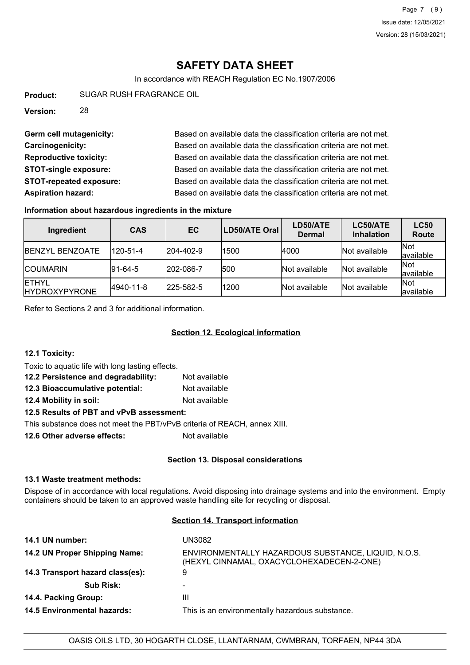In accordance with REACH Regulation EC No.1907/2006

**Product:** SUGAR RUSH FRAGRANCE OIL

**Version:** 28

Germ cell mutagenicity: Based on available data the classification criteria are not met. **Carcinogenicity:** Based on available data the classification criteria are not met. **Reproductive toxicity:** Based on available data the classification criteria are not met. **STOT-single exposure:** Based on available data the classification criteria are not met. **STOT-repeated exposure:** Based on available data the classification criteria are not met. **Aspiration hazard:** Based on available data the classification criteria are not met.

#### **Information about hazardous ingredients in the mixture**

| Ingredient                            | <b>CAS</b>      | <b>EC</b>         | LD50/ATE Oral | LD50/ATE<br><b>Dermal</b> | LC50/ATE<br><b>Inhalation</b> | <b>LC50</b><br><b>Route</b> |
|---------------------------------------|-----------------|-------------------|---------------|---------------------------|-------------------------------|-----------------------------|
| <b>IBENZYL BENZOATE</b>               | 120-51-4        | $ 204 - 402 - 9 $ | 1500          | 4000                      | Not available                 | <b>Not</b><br>lavailable    |
| <b>ICOUMARIN</b>                      | $ 91 - 64 - 5 $ | 202-086-7         | 500           | INot available            | Not available                 | <b>Not</b><br>lavailable    |
| <b>IETHYL</b><br><b>HYDROXYPYRONE</b> | 4940-11-8       | $ 225 - 582 - 5 $ | 1200          | Not available             | Not available                 | <b>Not</b><br>lavailable    |

Refer to Sections 2 and 3 for additional information.

### **Section 12. Ecological information**

#### **12.1 Toxicity:**

Toxic to aquatic life with long lasting effects.

| 12.2 Persistence and degradability: | Not available |
|-------------------------------------|---------------|
| 12.3 Bioaccumulative potential:     | Not available |
| 12.4 Mobility in soil:              | Not available |

**12.5 Results of PBT and vPvB assessment:**

This substance does not meet the PBT/vPvB criteria of REACH, annex XIII.

**12.6 Other adverse effects:** Not available

#### **Section 13. Disposal considerations**

## **13.1 Waste treatment methods:**

Dispose of in accordance with local regulations. Avoid disposing into drainage systems and into the environment. Empty containers should be taken to an approved waste handling site for recycling or disposal.

#### **Section 14. Transport information**

| 14.1 UN number:                    | UN3082                                                                                           |
|------------------------------------|--------------------------------------------------------------------------------------------------|
| 14.2 UN Proper Shipping Name:      | ENVIRONMENTALLY HAZARDOUS SUBSTANCE, LIQUID, N.O.S.<br>(HEXYL CINNAMAL, OXACYCLOHEXADECEN-2-ONE) |
| 14.3 Transport hazard class(es):   | 9                                                                                                |
| <b>Sub Risk:</b>                   | ۰                                                                                                |
| 14.4. Packing Group:               | Ш                                                                                                |
| <b>14.5 Environmental hazards:</b> | This is an environmentally hazardous substance.                                                  |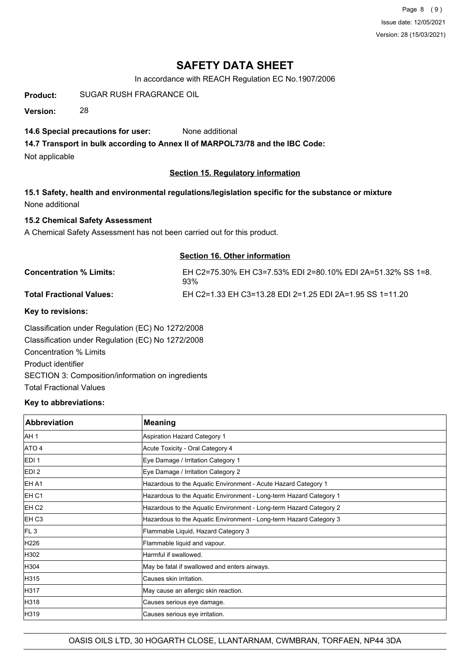Page 8 (9) Issue date: 12/05/2021 Version: 28 (15/03/2021)

# **SAFETY DATA SHEET**

In accordance with REACH Regulation EC No.1907/2006

**Product:** SUGAR RUSH FRAGRANCE OIL

**Version:** 28

## **14.6 Special precautions for user:** None additional

**14.7 Transport in bulk according to Annex II of MARPOL73/78 and the IBC Code:**

Not applicable

# **Section 15. Regulatory information**

**15.1 Safety, health and environmental regulations/legislation specific for the substance or mixture** None additional

# **15.2 Chemical Safety Assessment**

A Chemical Safety Assessment has not been carried out for this product.

### **Section 16. Other information**

| <b>Concentration % Limits:</b>  | EH C2=75.30% EH C3=7.53% EDI 2=80.10% EDI 2A=51.32% SS 1=8.<br>93% |
|---------------------------------|--------------------------------------------------------------------|
| <b>Total Fractional Values:</b> | EH C2=1.33 EH C3=13.28 EDI 2=1.25 EDI 2A=1.95 SS 1=11.20           |
|                                 |                                                                    |

#### **Key to revisions:**

Classification under Regulation (EC) No 1272/2008 Classification under Regulation (EC) No 1272/2008 Concentration % Limits Product identifier SECTION 3: Composition/information on ingredients Total Fractional Values

### **Key to abbreviations:**

| <b>Abbreviation</b> | <b>Meaning</b>                                                     |
|---------------------|--------------------------------------------------------------------|
| AH <sub>1</sub>     | Aspiration Hazard Category 1                                       |
| ATO 4               | Acute Toxicity - Oral Category 4                                   |
| EDI <sub>1</sub>    | Eye Damage / Irritation Category 1                                 |
| EDI <sub>2</sub>    | Eye Damage / Irritation Category 2                                 |
| EH A1               | Hazardous to the Aquatic Environment - Acute Hazard Category 1     |
| EH <sub>C1</sub>    | Hazardous to the Aquatic Environment - Long-term Hazard Category 1 |
| EH C <sub>2</sub>   | Hazardous to the Aquatic Environment - Long-term Hazard Category 2 |
| EH <sub>C3</sub>    | Hazardous to the Aquatic Environment - Long-term Hazard Category 3 |
| FL <sub>3</sub>     | Flammable Liquid, Hazard Category 3                                |
| H226                | Flammable liquid and vapour.                                       |
| H302                | Harmful if swallowed.                                              |
| H304                | May be fatal if swallowed and enters airways.                      |
| H315                | Causes skin irritation.                                            |
| H317                | May cause an allergic skin reaction.                               |
| H318                | Causes serious eye damage.                                         |
| H319                | Causes serious eye irritation.                                     |